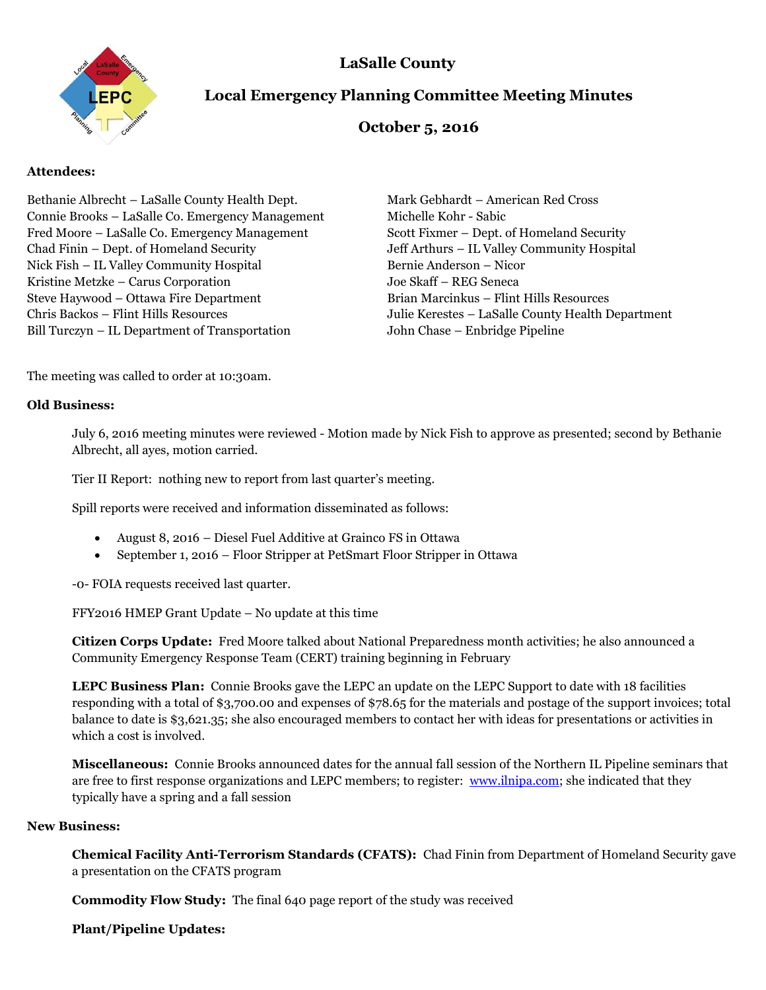



# **Local Emergency Planning Committee Meeting Minutes**

# **October 5, 2016**

## **Attendees:**

Bethanie Albrecht – LaSalle County Health Dept. Mark Gebhardt – American Red Cross Connie Brooks – LaSalle Co. Emergency Management Michelle Kohr - Sabic Fred Moore – LaSalle Co. Emergency Management Scott Fixmer – Dept. of Homeland Security Chad Finin – Dept. of Homeland Security Jeff Arthurs – IL Valley Community Hospital Nick Fish – IL Valley Community Hospital Bernie Anderson – Nicor Kristine Metzke – Carus Corporation Joe Skaff – REG Seneca Steve Haywood – Ottawa Fire Department Brian Marcinkus – Flint Hills Resources Chris Backos – Flint Hills Resources Julie Kerestes – LaSalle County Health Department Bill Turczyn – IL Department of Transportation John Chase – Enbridge Pipeline

The meeting was called to order at 10:30am.

### **Old Business:**

July 6, 2016 meeting minutes were reviewed - Motion made by Nick Fish to approve as presented; second by Bethanie Albrecht, all ayes, motion carried.

Tier II Report: nothing new to report from last quarter's meeting.

Spill reports were received and information disseminated as follows:

- August 8, 2016 Diesel Fuel Additive at Grainco FS in Ottawa
- September 1, 2016 Floor Stripper at PetSmart Floor Stripper in Ottawa

-0- FOIA requests received last quarter.

FFY2016 HMEP Grant Update – No update at this time

**Citizen Corps Update:** Fred Moore talked about National Preparedness month activities; he also announced a Community Emergency Response Team (CERT) training beginning in February

**LEPC Business Plan:** Connie Brooks gave the LEPC an update on the LEPC Support to date with 18 facilities responding with a total of \$3,700.00 and expenses of \$78.65 for the materials and postage of the support invoices; total balance to date is \$3,621.35; she also encouraged members to contact her with ideas for presentations or activities in which a cost is involved.

**Miscellaneous:** Connie Brooks announced dates for the annual fall session of the Northern IL Pipeline seminars that are free to first response organizations and LEPC members; to register: [www.ilnipa.com;](http://www.ilnipa.com/) she indicated that they typically have a spring and a fall session

### **New Business:**

**Chemical Facility Anti-Terrorism Standards (CFATS):** Chad Finin from Department of Homeland Security gave a presentation on the CFATS program

**Commodity Flow Study:** The final 640 page report of the study was received

**Plant/Pipeline Updates:**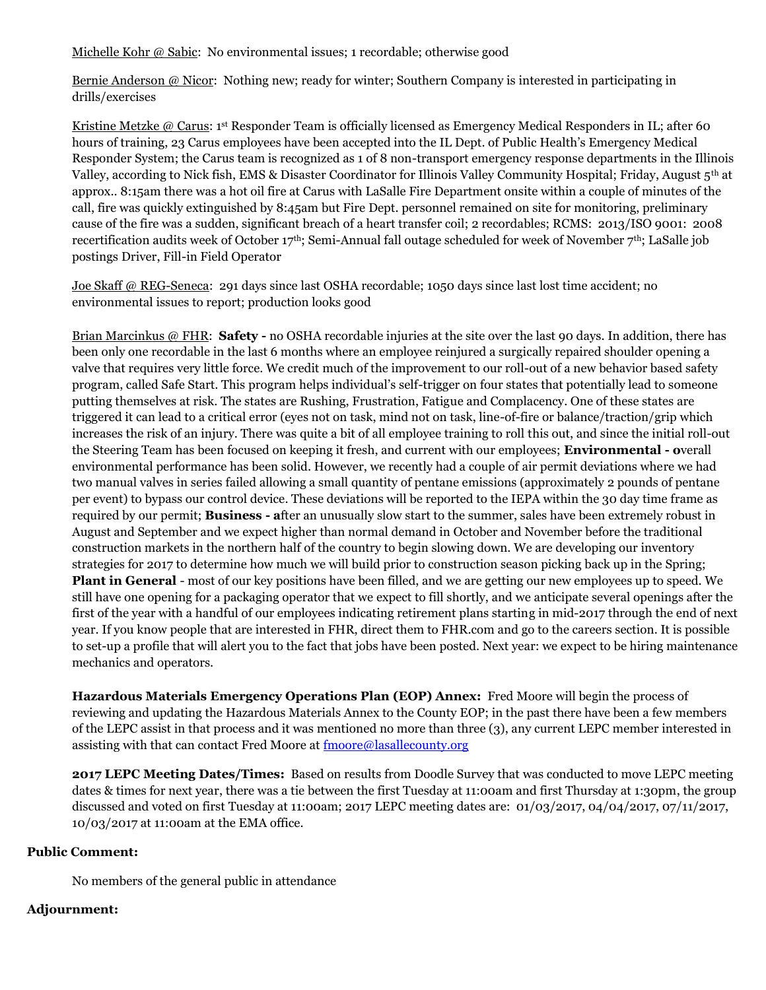Michelle Kohr @ Sabic: No environmental issues; 1 recordable; otherwise good

Bernie Anderson @ Nicor: Nothing new; ready for winter; Southern Company is interested in participating in drills/exercises

Kristine Metzke @ Carus: 1<sup>st</sup> Responder Team is officially licensed as Emergency Medical Responders in IL; after 60 hours of training, 23 Carus employees have been accepted into the IL Dept. of Public Health's Emergency Medical Responder System; the Carus team is recognized as 1 of 8 non-transport emergency response departments in the Illinois Valley, according to Nick fish, EMS & Disaster Coordinator for Illinois Valley Community Hospital; Friday, August 5th at approx.. 8:15am there was a hot oil fire at Carus with LaSalle Fire Department onsite within a couple of minutes of the call, fire was quickly extinguished by 8:45am but Fire Dept. personnel remained on site for monitoring, preliminary cause of the fire was a sudden, significant breach of a heart transfer coil; 2 recordables; RCMS: 2013/ISO 9001: 2008 recertification audits week of October 17<sup>th</sup>; Semi-Annual fall outage scheduled for week of November 7<sup>th</sup>; LaSalle job postings Driver, Fill-in Field Operator

Joe Skaff @ REG-Seneca: 291 days since last OSHA recordable; 1050 days since last lost time accident; no environmental issues to report; production looks good

Brian Marcinkus @ FHR: **Safety -** no OSHA recordable injuries at the site over the last 90 days. In addition, there has been only one recordable in the last 6 months where an employee reinjured a surgically repaired shoulder opening a valve that requires very little force. We credit much of the improvement to our roll-out of a new behavior based safety program, called Safe Start. This program helps individual's self-trigger on four states that potentially lead to someone putting themselves at risk. The states are Rushing, Frustration, Fatigue and Complacency. One of these states are triggered it can lead to a critical error (eyes not on task, mind not on task, line-of-fire or balance/traction/grip which increases the risk of an injury. There was quite a bit of all employee training to roll this out, and since the initial roll-out the Steering Team has been focused on keeping it fresh, and current with our employees; **Environmental - o**verall environmental performance has been solid. However, we recently had a couple of air permit deviations where we had two manual valves in series failed allowing a small quantity of pentane emissions (approximately 2 pounds of pentane per event) to bypass our control device. These deviations will be reported to the IEPA within the 30 day time frame as required by our permit; **Business - a**fter an unusually slow start to the summer, sales have been extremely robust in August and September and we expect higher than normal demand in October and November before the traditional construction markets in the northern half of the country to begin slowing down. We are developing our inventory strategies for 2017 to determine how much we will build prior to construction season picking back up in the Spring; **Plant in General** - most of our key positions have been filled, and we are getting our new employees up to speed. We still have one opening for a packaging operator that we expect to fill shortly, and we anticipate several openings after the first of the year with a handful of our employees indicating retirement plans starting in mid-2017 through the end of next year. If you know people that are interested in FHR, direct them to FHR.com and go to the careers section. It is possible to set-up a profile that will alert you to the fact that jobs have been posted. Next year: we expect to be hiring maintenance mechanics and operators.

**Hazardous Materials Emergency Operations Plan (EOP) Annex:** Fred Moore will begin the process of reviewing and updating the Hazardous Materials Annex to the County EOP; in the past there have been a few members of the LEPC assist in that process and it was mentioned no more than three (3), any current LEPC member interested in assisting with that can contact Fred Moore at  $\overline{f}$  moore@lasallecounty.org

**2017 LEPC Meeting Dates/Times:** Based on results from Doodle Survey that was conducted to move LEPC meeting dates & times for next year, there was a tie between the first Tuesday at 11:00am and first Thursday at 1:30pm, the group discussed and voted on first Tuesday at 11:00am; 2017 LEPC meeting dates are: 01/03/2017, 04/04/2017, 07/11/2017, 10/03/2017 at 11:00am at the EMA office.

#### **Public Comment:**

No members of the general public in attendance

#### **Adjournment:**